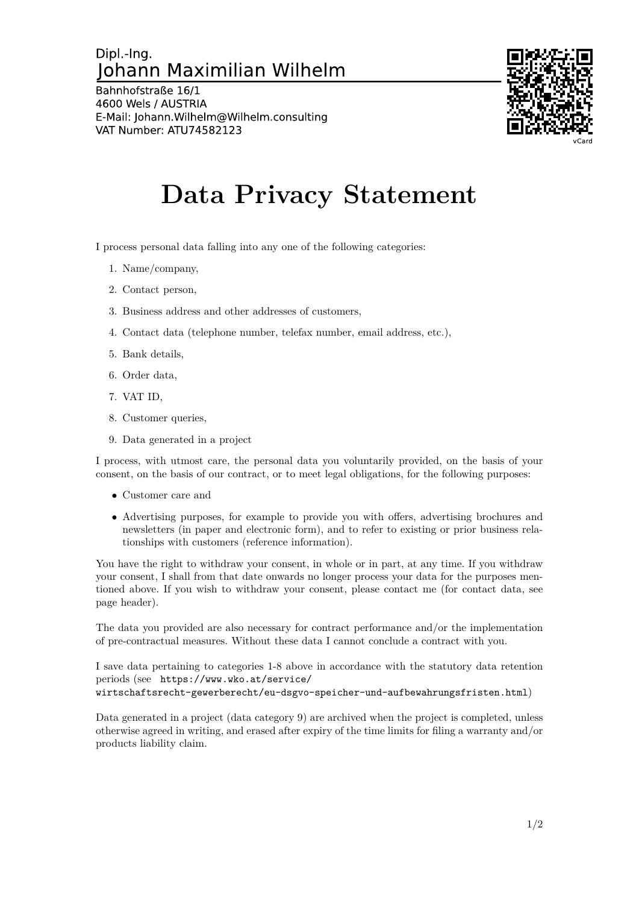## Dipl - Ing. Johann Maximilian Wilhelm

Bahnhofstraße 16/1 4600 Wels / AUSTRIA E-Mail: Johann. Wilhelm@Wilhelm.consulting VAT Number: ATU74582123



## **Data Privacy Statement**

I process personal data falling into any one of the following categories:

- 1. Name/company,
- 2. Contact person,
- 3. Business address and other addresses of customers,
- 4. Contact data (telephone number, telefax number, email address, etc.),
- 5. Bank details,
- 6. Order data,
- 7. VAT ID,
- 8. Customer queries,
- 9. Data generated in a project

I process, with utmost care, the personal data you voluntarily provided, on the basis of your consent, on the basis of our contract, or to meet legal obligations, for the following purposes:

- Customer care and
- Advertising purposes, for example to provide you with offers, advertising brochures and newsletters (in paper and electronic form), and to refer to existing or prior business relationships with customers (reference information).

You have the right to withdraw your consent, in whole or in part, at any time. If you withdraw your consent, I shall from that date onwards no longer process your data for the purposes mentioned above. If you wish to withdraw your consent, please contact me (for contact data, see page header).

The data you provided are also necessary for contract performance and/or the implementation of pre-contractual measures. Without these data I cannot conclude a contract with you.

I save data pertaining to categories 1-8 above in accordance with the statutory data retention periods (see https://www.wko.at/service/

wirtschaftsrecht-gewerberecht/eu-dsgvo-speicher-und-aufbewahrungsfristen.html)

Data generated in a project (data category 9) are archived when the project is completed, unless otherwise agreed in writing, and erased after expiry of the time limits for filing a warranty and/or products liability claim.